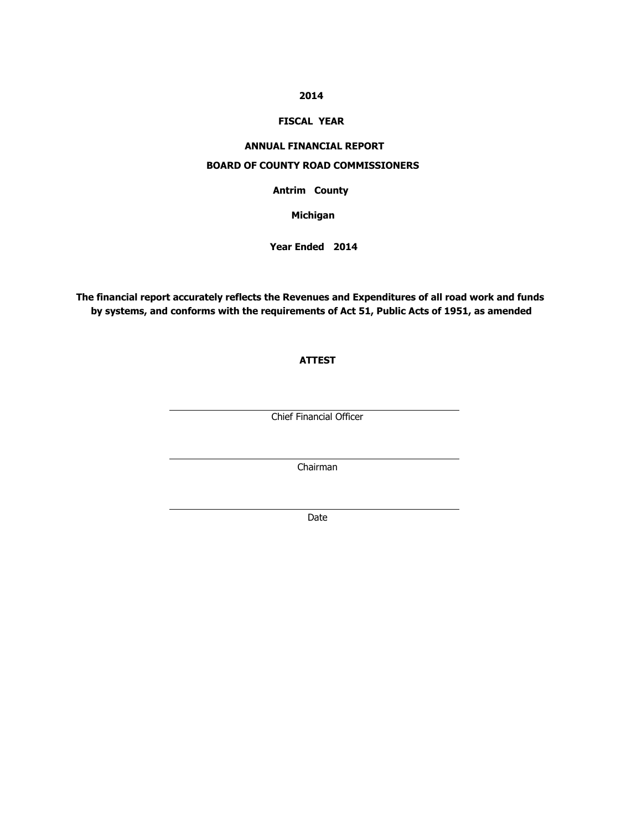### **2014**

### **FISCAL YEAR**

### **ANNUAL FINANCIAL REPORT**

### **BOARD OF COUNTY ROAD COMMISSIONERS**

**Antrim** County **County** 

**Michigan**

**Year Ended 2014**

**The financial report accurately reflects the Revenues and Expenditures of all road work and funds by systems, and conforms with the requirements of Act 51, Public Acts of 1951, as amended**

### **ATTEST**

Chief Financial Officer

Chairman

Date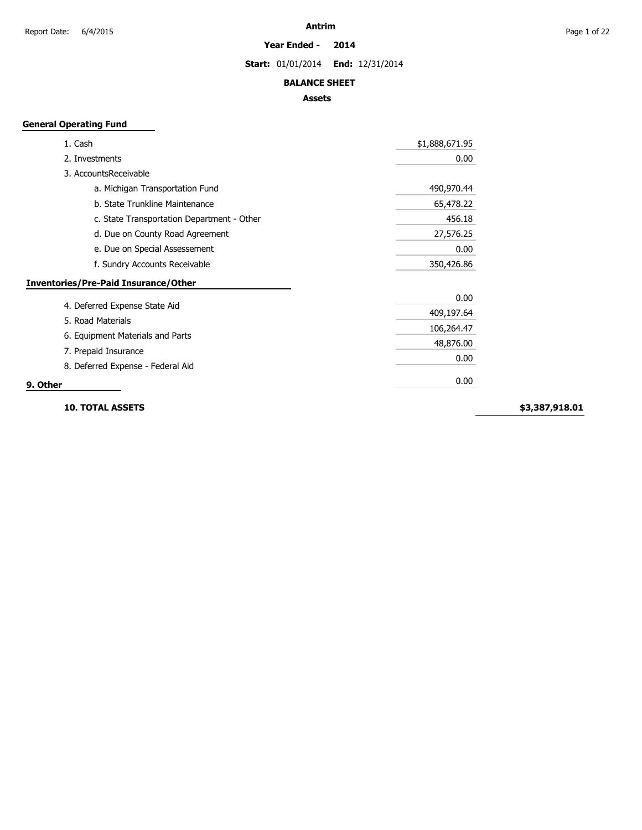**Year Ended - 2014**

**Start:** 01/01/2014 **End:** 12/31/2014

### **BALANCE SHEET**

### **Assets**

### **General Operating Fund**

| 1. Cash                                     | \$1,888,671.95 |
|---------------------------------------------|----------------|
| 2. Investments                              | 0.00           |
| 3. AccountsReceivable                       |                |
| a. Michigan Transportation Fund             | 490,970.44     |
| b. State Trunkline Maintenance              | 65,478.22      |
| c. State Transportation Department - Other  | 456.18         |
| d. Due on County Road Agreement             | 27,576.25      |
| e. Due on Special Assessement               | 0.00           |
| f. Sundry Accounts Receivable               | 350,426.86     |
| <b>Inventories/Pre-Paid Insurance/Other</b> |                |
|                                             | 0.00           |
| 4. Deferred Expense State Aid               | 409,197.64     |
| 5. Road Materials                           | 106,264.47     |
| 6. Equipment Materials and Parts            | 48,876.00      |
| 7. Prepaid Insurance                        | 0.00           |
| 8. Deferred Expense - Federal Aid           |                |
| 9. Other                                    | 0.00           |

**10. TOTAL ASSETS**

**\$3,387,918.01**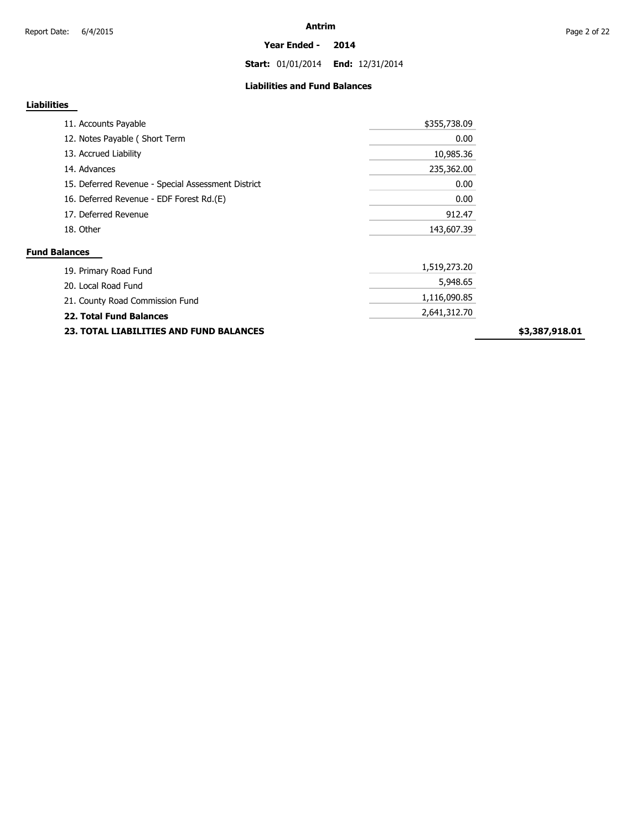**Start:** 01/01/2014 **End:** 12/31/2014

### **Liabilities and Fund Balances**

### **Liabilities**

| 11. Accounts Payable                               | \$355,738.09 |
|----------------------------------------------------|--------------|
| 12. Notes Payable (Short Term                      | 0.00         |
| 13. Accrued Liability                              | 10,985.36    |
| 14. Advances                                       | 235,362.00   |
| 15. Deferred Revenue - Special Assessment District | 0.00         |
| 16. Deferred Revenue - EDF Forest Rd.(E)           | 0.00         |
| 17. Deferred Revenue                               | 912.47       |
| 18. Other                                          | 143,607.39   |
| <b>Fund Balances</b>                               |              |
| 19. Primary Road Fund                              | 1,519,273.20 |
| 20. Local Road Fund                                | 5,948.65     |
| 21. County Road Commission Fund                    | 1,116,090.85 |
| <b>22. Total Fund Balances</b>                     | 2,641,312.70 |
|                                                    |              |

**23. TOTAL LIABILITIES AND FUND BALANCES**

**\$3,387,918.01**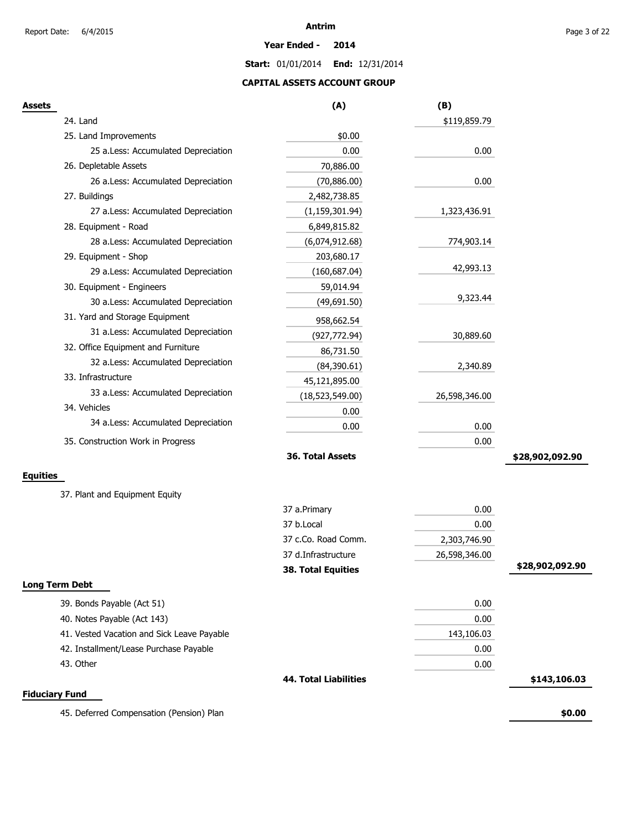#### **Year Ended - 2014**

**Start:** 01/01/2014 **End:** 12/31/2014

### **CAPITAL ASSETS ACCOUNT GROUP**

| Assets                                     | (A)                          | (B)           |                 |
|--------------------------------------------|------------------------------|---------------|-----------------|
| 24. Land                                   |                              | \$119,859.79  |                 |
| 25. Land Improvements                      | \$0.00                       |               |                 |
| 25 a.Less: Accumulated Depreciation        | 0.00                         | 0.00          |                 |
| 26. Depletable Assets                      | 70,886.00                    |               |                 |
| 26 a.Less: Accumulated Depreciation        | (70, 886.00)                 | 0.00          |                 |
| 27. Buildings                              | 2,482,738.85                 |               |                 |
| 27 a.Less: Accumulated Depreciation        | (1, 159, 301.94)             | 1,323,436.91  |                 |
| 28. Equipment - Road                       | 6,849,815.82                 |               |                 |
| 28 a.Less: Accumulated Depreciation        | (6,074,912.68)               | 774,903.14    |                 |
| 29. Equipment - Shop                       | 203,680.17                   |               |                 |
| 29 a.Less: Accumulated Depreciation        | (160, 687.04)                | 42,993.13     |                 |
| 30. Equipment - Engineers                  | 59,014.94                    |               |                 |
| 30 a.Less: Accumulated Depreciation        | (49,691.50)                  | 9,323.44      |                 |
| 31. Yard and Storage Equipment             | 958,662.54                   |               |                 |
| 31 a.Less: Accumulated Depreciation        | (927, 772.94)                | 30,889.60     |                 |
| 32. Office Equipment and Furniture         | 86,731.50                    |               |                 |
| 32 a.Less: Accumulated Depreciation        | (84,390.61)                  | 2,340.89      |                 |
| 33. Infrastructure                         | 45,121,895.00                |               |                 |
| 33 a.Less: Accumulated Depreciation        | (18,523,549.00)              | 26,598,346.00 |                 |
| 34. Vehicles                               | 0.00                         |               |                 |
| 34 a.Less: Accumulated Depreciation        | 0.00                         | 0.00          |                 |
| 35. Construction Work in Progress          |                              | 0.00          |                 |
|                                            | 36. Total Assets             |               | \$28,902,092.90 |
| Equities                                   |                              |               |                 |
| 37. Plant and Equipment Equity             |                              |               |                 |
|                                            | 37 a.Primary                 | 0.00          |                 |
|                                            | 37 b.Local                   | 0.00          |                 |
|                                            | 37 c.Co. Road Comm.          | 2,303,746.90  |                 |
|                                            | 37 d.Infrastructure          | 26,598,346.00 |                 |
|                                            | 38. Total Equities           |               | \$28,902,092.90 |
| <b>Long Term Debt</b>                      |                              |               |                 |
| 39. Bonds Payable (Act 51)                 |                              | 0.00          |                 |
| 40. Notes Payable (Act 143)                |                              | 0.00          |                 |
| 41. Vested Vacation and Sick Leave Payable |                              | 143,106.03    |                 |
| 42. Installment/Lease Purchase Payable     |                              | 0.00          |                 |
| 43. Other                                  |                              | 0.00          |                 |
|                                            | <b>44. Total Liabilities</b> |               | \$143,106.03    |
| <b>Fiduciary Fund</b>                      |                              |               |                 |
| 45. Deferred Compensation (Pension) Plan   |                              |               | \$0.00          |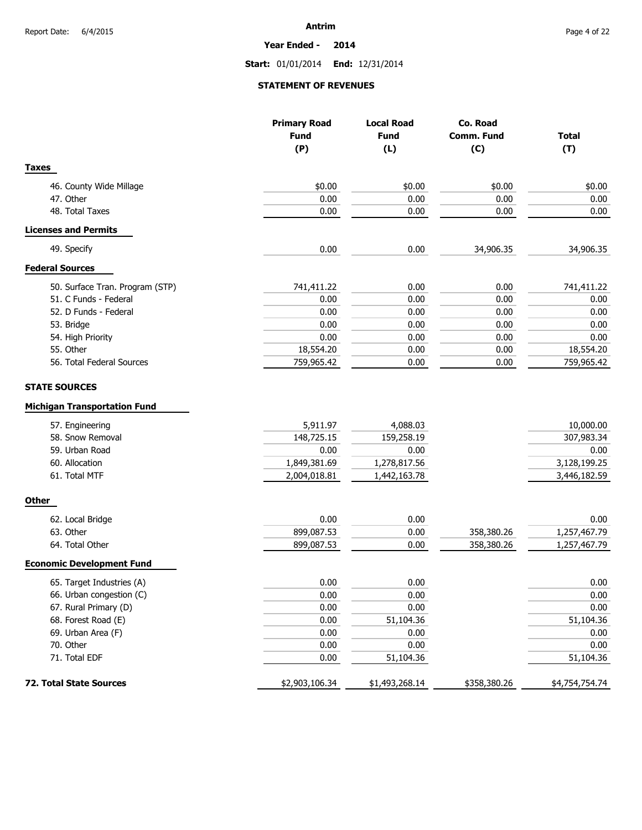**Year Ended - 2014**

**Start:** 01/01/2014 **End:** 12/31/2014

### **STATEMENT OF REVENUES**

|                                                                                                                                                         | <b>Primary Road</b><br><b>Fund</b><br>(P)                      | <b>Local Road</b><br><b>Fund</b><br>(L)                        | Co. Road<br>Comm. Fund<br>(C) | <b>Total</b><br>(T)                                             |
|---------------------------------------------------------------------------------------------------------------------------------------------------------|----------------------------------------------------------------|----------------------------------------------------------------|-------------------------------|-----------------------------------------------------------------|
| <b>Taxes</b>                                                                                                                                            |                                                                |                                                                |                               |                                                                 |
| 46. County Wide Millage                                                                                                                                 | \$0.00                                                         | \$0.00                                                         | \$0.00                        | \$0.00                                                          |
| 47. Other                                                                                                                                               | 0.00                                                           | 0.00                                                           | 0.00                          | 0.00                                                            |
| 48. Total Taxes                                                                                                                                         | 0.00                                                           | 0.00                                                           | 0.00                          | 0.00                                                            |
| <b>Licenses and Permits</b>                                                                                                                             |                                                                |                                                                |                               |                                                                 |
| 49. Specify                                                                                                                                             | 0.00                                                           | 0.00                                                           | 34,906.35                     | 34,906.35                                                       |
| <b>Federal Sources</b>                                                                                                                                  |                                                                |                                                                |                               |                                                                 |
| 50. Surface Tran. Program (STP)                                                                                                                         | 741,411.22                                                     | 0.00                                                           | 0.00                          | 741,411.22                                                      |
| 51. C Funds - Federal                                                                                                                                   | 0.00                                                           | 0.00                                                           | 0.00                          | 0.00                                                            |
| 52. D Funds - Federal                                                                                                                                   | 0.00                                                           | 0.00                                                           | 0.00                          | 0.00                                                            |
| 53. Bridge                                                                                                                                              | 0.00                                                           | 0.00                                                           | 0.00                          | 0.00                                                            |
| 54. High Priority                                                                                                                                       | 0.00                                                           | 0.00                                                           | 0.00                          | 0.00                                                            |
| 55. Other                                                                                                                                               | 18,554.20                                                      | 0.00                                                           | 0.00                          | 18,554.20                                                       |
| 56. Total Federal Sources                                                                                                                               | 759,965.42                                                     | 0.00                                                           | 0.00                          | 759,965.42                                                      |
|                                                                                                                                                         |                                                                |                                                                |                               |                                                                 |
| <b>STATE SOURCES</b><br><b>Michigan Transportation Fund</b><br>57. Engineering<br>58. Snow Removal<br>59. Urban Road<br>60. Allocation<br>61. Total MTF | 5,911.97<br>148,725.15<br>0.00<br>1,849,381.69<br>2,004,018.81 | 4,088.03<br>159,258.19<br>0.00<br>1,278,817.56<br>1,442,163.78 |                               | 10,000.00<br>307,983.34<br>0.00<br>3,128,199.25<br>3,446,182.59 |
| <b>Other</b>                                                                                                                                            |                                                                |                                                                |                               |                                                                 |
| 62. Local Bridge                                                                                                                                        | 0.00                                                           | 0.00                                                           |                               | 0.00                                                            |
| 63. Other                                                                                                                                               | 899,087.53                                                     | 0.00                                                           | 358,380.26                    | 1,257,467.79                                                    |
| 64. Total Other                                                                                                                                         | 899,087.53                                                     | 0.00                                                           | 358,380.26                    | 1,257,467.79                                                    |
| <b>Economic Development Fund</b>                                                                                                                        |                                                                |                                                                |                               |                                                                 |
| 65. Target Industries (A)                                                                                                                               | 0.00                                                           | 0.00                                                           |                               | 0.00                                                            |
| 66. Urban congestion (C)                                                                                                                                | 0.00                                                           | 0.00                                                           |                               | $0.00\,$                                                        |
| 67. Rural Primary (D)                                                                                                                                   | 0.00                                                           | 0.00                                                           |                               | 0.00                                                            |
| 68. Forest Road (E)                                                                                                                                     | 0.00                                                           | 51,104.36                                                      |                               | 51,104.36                                                       |
| 69. Urban Area (F)                                                                                                                                      | 0.00                                                           | 0.00                                                           |                               | 0.00                                                            |
| 70. Other                                                                                                                                               | 0.00                                                           | 0.00                                                           |                               | 0.00                                                            |
| 71. Total EDF                                                                                                                                           | 0.00                                                           | 51,104.36                                                      |                               | 51,104.36                                                       |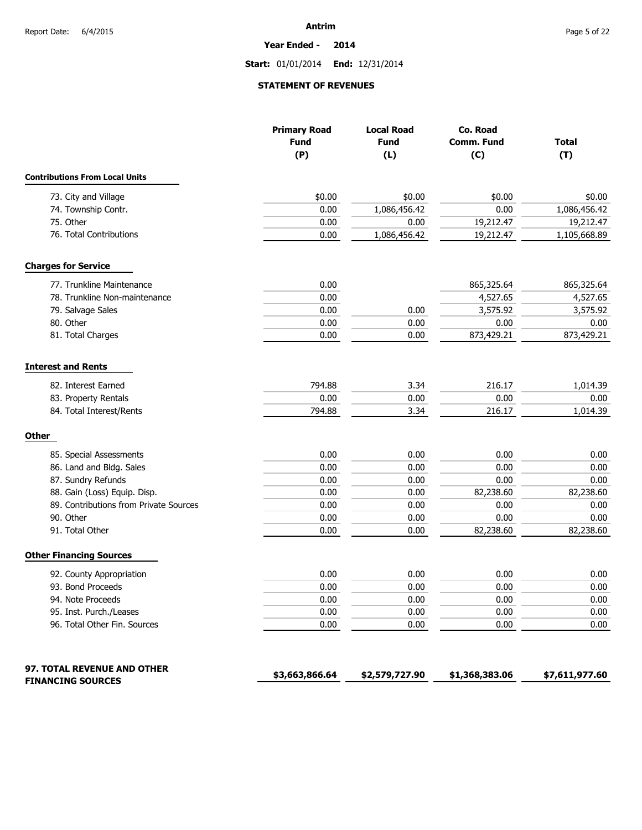**Year Ended - 2014**

**Start:** 01/01/2014 **End:** 12/31/2014

### **STATEMENT OF REVENUES**

|                                        | <b>Primary Road</b><br><b>Fund</b><br>(P) | <b>Local Road</b><br><b>Fund</b><br>(L) | Co. Road<br><b>Comm. Fund</b><br>(C) | <b>Total</b><br>(T) |
|----------------------------------------|-------------------------------------------|-----------------------------------------|--------------------------------------|---------------------|
| <b>Contributions From Local Units</b>  |                                           |                                         |                                      |                     |
| 73. City and Village                   | \$0.00                                    | \$0.00                                  | \$0.00                               | \$0.00              |
| 74. Township Contr.                    | 0.00                                      | 1,086,456.42                            | 0.00                                 | 1,086,456.42        |
| 75. Other                              | 0.00                                      | 0.00                                    | 19,212.47                            | 19,212.47           |
| 76. Total Contributions                | 0.00                                      | 1,086,456.42                            | 19,212.47                            | 1,105,668.89        |
| <b>Charges for Service</b>             |                                           |                                         |                                      |                     |
| 77. Trunkline Maintenance              | 0.00                                      |                                         | 865,325.64                           | 865,325.64          |
| 78. Trunkline Non-maintenance          | 0.00                                      |                                         | 4,527.65                             | 4,527.65            |
| 79. Salvage Sales                      | 0.00                                      | 0.00                                    | 3,575.92                             | 3,575.92            |
| 80. Other                              | 0.00                                      | 0.00                                    | 0.00                                 | 0.00                |
| 81. Total Charges                      | 0.00                                      | 0.00                                    | 873,429.21                           | 873,429.21          |
| <b>Interest and Rents</b>              |                                           |                                         |                                      |                     |
| 82. Interest Earned                    | 794.88                                    | 3.34                                    | 216.17                               | 1,014.39            |
| 83. Property Rentals                   | 0.00                                      | 0.00                                    | 0.00                                 | 0.00                |
| 84. Total Interest/Rents               | 794.88                                    | 3.34                                    | 216.17                               | 1,014.39            |
| <b>Other</b>                           |                                           |                                         |                                      |                     |
| 85. Special Assessments                | 0.00                                      | 0.00                                    | 0.00                                 | 0.00                |
| 86. Land and Bldg. Sales               | 0.00                                      | 0.00                                    | 0.00                                 | 0.00                |
| 87. Sundry Refunds                     | 0.00                                      | 0.00                                    | 0.00                                 | 0.00                |
| 88. Gain (Loss) Equip. Disp.           | 0.00                                      | 0.00                                    | 82,238.60                            | 82,238.60           |
| 89. Contributions from Private Sources | 0.00                                      | 0.00                                    | 0.00                                 | 0.00                |
| 90. Other                              | 0.00                                      | 0.00                                    | 0.00                                 | 0.00                |
| 91. Total Other                        | 0.00                                      | 0.00                                    | 82,238.60                            | 82,238.60           |
| <b>Other Financing Sources</b>         |                                           |                                         |                                      |                     |
| 92. County Appropriation               | 0.00                                      | 0.00                                    | 0.00                                 | 0.00                |
| 93. Bond Proceeds                      | 0.00                                      | 0.00                                    | 0.00                                 | 0.00                |
| 94. Note Proceeds                      | 0.00                                      | 0.00                                    | 0.00                                 | $0.00\,$            |
| 95. Inst. Purch./Leases                | 0.00                                      | 0.00                                    | 0.00                                 | 0.00                |
| 96. Total Other Fin. Sources           | 0.00                                      | 0.00                                    | 0.00                                 | 0.00                |
| 97. TOTAL REVENUE AND OTHER            |                                           |                                         |                                      |                     |
| <b>FINANCING SOURCES</b>               | \$3,663,866.64                            | \$2,579,727.90                          | \$1,368,383.06                       | \$7,611,977.60      |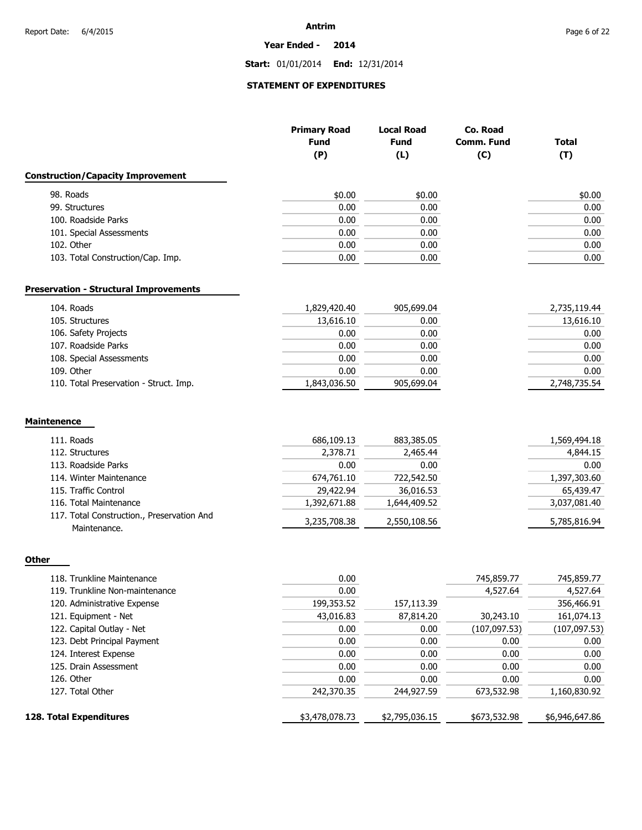**Year Ended - 2014**

**Start:** 01/01/2014 **End:** 12/31/2014

## **STATEMENT OF EXPENDITURES**

|                                               | <b>Primary Road</b><br><b>Fund</b> | <b>Local Road</b><br><b>Fund</b> | Co. Road<br><b>Comm. Fund</b> | <b>Total</b> |
|-----------------------------------------------|------------------------------------|----------------------------------|-------------------------------|--------------|
|                                               | (P)                                | (L)                              | (C)                           | (T)          |
| <b>Construction/Capacity Improvement</b>      |                                    |                                  |                               |              |
| 98. Roads                                     | \$0.00                             | \$0.00                           |                               | \$0.00       |
| 99. Structures                                | 0.00                               | 0.00                             |                               | 0.00         |
| 100. Roadside Parks                           | 0.00                               | 0.00                             |                               | 0.00         |
| 101. Special Assessments                      | 0.00                               | 0.00                             |                               | 0.00         |
| 102. Other                                    | 0.00                               | 0.00                             |                               | 0.00         |
| 103. Total Construction/Cap. Imp.             | 0.00                               | 0.00                             |                               | 0.00         |
|                                               |                                    |                                  |                               |              |
| <b>Preservation - Structural Improvements</b> |                                    |                                  |                               |              |
| 104. Roads                                    | 1,829,420.40                       | 905,699.04                       |                               | 2,735,119.44 |
| 105. Structures                               | 13,616.10                          | 0.00                             |                               | 13,616.10    |
| 106. Safety Projects                          | 0.00                               | 0.00                             |                               | 0.00         |
| 107. Roadside Parks                           | 0.00                               | 0.00                             |                               | 0.00         |
| 108. Special Assessments                      | 0.00                               | 0.00                             |                               | 0.00         |
| 109. Other                                    | 0.00                               | 0.00                             |                               | 0.00         |
| 110. Total Preservation - Struct. Imp.        | 1,843,036.50                       | 905,699.04                       |                               | 2,748,735.54 |
|                                               |                                    |                                  |                               |              |
| <b>Maintenence</b>                            |                                    |                                  |                               |              |
| 111. Roads                                    | 686,109.13                         | 883,385.05                       |                               | 1,569,494.18 |
| 112. Structures                               | 2,378.71                           | 2,465.44                         |                               | 4,844.15     |
| 113. Roadside Parks                           | 0.00                               | 0.00                             |                               | 0.00         |
| 114. Winter Maintenance                       | 674,761.10                         | 722,542.50                       |                               | 1,397,303.60 |
| 115. Traffic Control                          | 29,422.94                          | 36,016.53                        |                               | 65,439.47    |
| 116. Total Maintenance                        | 1,392,671.88                       | 1,644,409.52                     |                               | 3,037,081.40 |
| 117. Total Construction., Preservation And    |                                    |                                  |                               |              |
|                                               | 3,235,708.38                       | 2,550,108.56                     |                               | 5,785,816.94 |

| w<br>×<br>٩ |
|-------------|
|             |

| 128. Total Expenditures        | \$3,478,078.73 | \$2,795,036.15 | \$673,532.98 | \$6,946,647.86 |
|--------------------------------|----------------|----------------|--------------|----------------|
| 127. Total Other               | 242,370.35     | 244,927.59     | 673,532.98   | 1,160,830.92   |
| 126. Other                     | 0.00           | 0.00           | 0.00         | 0.00           |
| 125. Drain Assessment          | 0.00           | 0.00           | 0.00         | 0.00           |
| 124. Interest Expense          | 0.00           | 0.00           | 0.00         | 0.00           |
| 123. Debt Principal Payment    | 0.00           | 0.00           | 0.00         | 0.00           |
| 122. Capital Outlay - Net      | 0.00           | 0.00           | (107,097.53) | (107, 097.53)  |
| 121. Equipment - Net           | 43,016.83      | 87,814.20      | 30,243.10    | 161,074.13     |
| 120. Administrative Expense    | 199,353.52     | 157,113.39     |              | 356,466.91     |
| 119. Trunkline Non-maintenance | 0.00           |                | 4,527.64     | 4,527.64       |
| 118. Trunkline Maintenance     | 0.00           |                | 745,859.77   | 745,859.77     |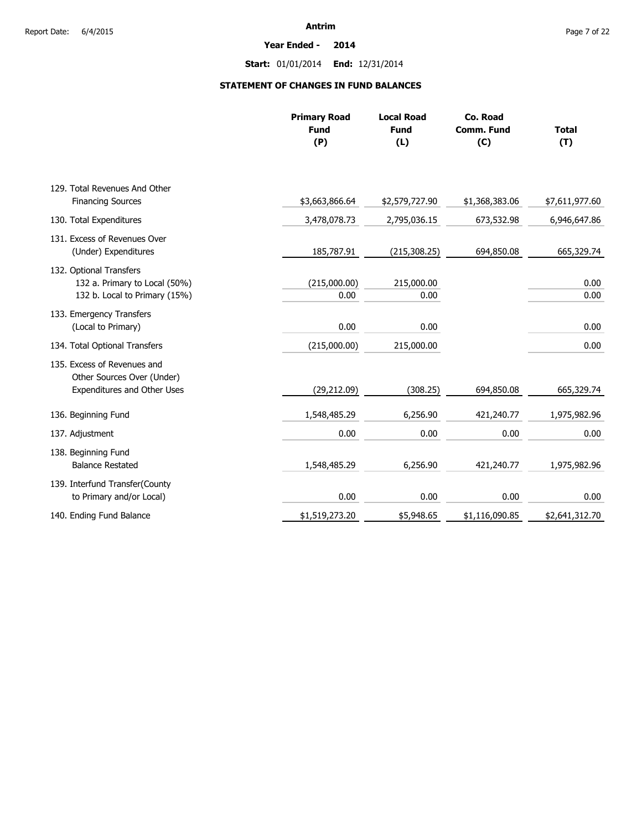**Year Ended - 2014**

**Start:** 01/01/2014 **End:** 12/31/2014

### **STATEMENT OF CHANGES IN FUND BALANCES**

|                                                                                          | <b>Primary Road</b><br><b>Fund</b><br>(P) | <b>Local Road</b><br><b>Fund</b><br>(L) | Co. Road<br><b>Comm. Fund</b><br>(C) | <b>Total</b><br>(T) |
|------------------------------------------------------------------------------------------|-------------------------------------------|-----------------------------------------|--------------------------------------|---------------------|
| 129. Total Revenues And Other                                                            |                                           |                                         |                                      |                     |
| <b>Financing Sources</b>                                                                 | \$3,663,866.64                            | \$2,579,727.90                          | \$1,368,383.06                       | \$7,611,977.60      |
| 130. Total Expenditures                                                                  | 3,478,078.73                              | 2,795,036.15                            | 673,532.98                           | 6,946,647.86        |
| 131. Excess of Revenues Over<br>(Under) Expenditures                                     | 185,787.91                                | (215, 308.25)                           | 694,850.08                           | 665,329.74          |
| 132. Optional Transfers<br>132 a. Primary to Local (50%)                                 | (215,000.00)                              | 215,000.00                              |                                      | 0.00                |
| 132 b. Local to Primary (15%)                                                            | 0.00                                      | 0.00                                    |                                      | 0.00                |
| 133. Emergency Transfers<br>(Local to Primary)                                           | 0.00                                      | 0.00                                    |                                      | 0.00                |
| 134. Total Optional Transfers                                                            | (215,000.00)                              | 215,000.00                              |                                      | 0.00                |
| 135. Excess of Revenues and<br>Other Sources Over (Under)<br>Expenditures and Other Uses | (29, 212.09)                              | (308.25)                                | 694,850.08                           | 665,329.74          |
| 136. Beginning Fund                                                                      | 1,548,485.29                              | 6,256.90                                | 421,240.77                           | 1,975,982.96        |
| 137. Adjustment                                                                          | 0.00                                      | 0.00                                    | 0.00                                 | 0.00                |
| 138. Beginning Fund<br><b>Balance Restated</b>                                           | 1,548,485.29                              | 6,256.90                                | 421,240.77                           | 1,975,982.96        |
| 139. Interfund Transfer(County<br>to Primary and/or Local)                               | 0.00                                      | 0.00                                    | 0.00                                 | 0.00                |
| 140. Ending Fund Balance                                                                 | \$1,519,273.20                            | \$5,948.65                              | \$1,116,090.85                       | \$2,641,312.70      |
|                                                                                          |                                           |                                         |                                      |                     |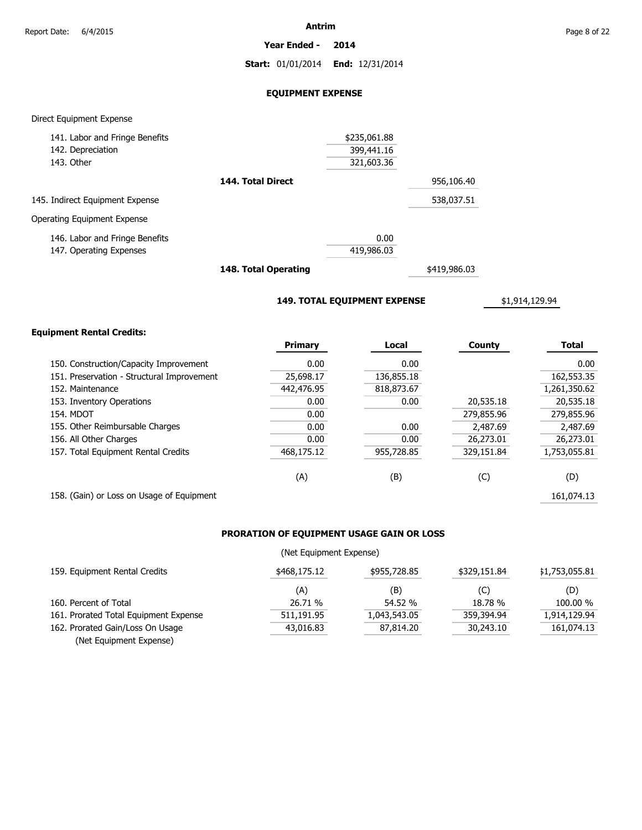**Year Ended - 2014**

**Start:** 01/01/2014 **End:** 12/31/2014

### **EQUIPMENT EXPENSE**

### Direct Equipment Expense

| 141. Labor and Fringe Benefits  |                   | \$235,061.88 |            |
|---------------------------------|-------------------|--------------|------------|
| 142. Depreciation               |                   | 399,441.16   |            |
| 143. Other                      |                   | 321,603.36   |            |
|                                 | 144. Total Direct |              | 956,106.40 |
| 145. Indirect Equipment Expense |                   |              | 538,037.51 |
| Operating Equipment Expense     |                   |              |            |
| 146. Labor and Fringe Benefits  |                   | 0.00         |            |
| 147. Operating Expenses         |                   | 419,986.03   |            |
|                                 |                   |              |            |

**148. Total Operating**

\$419,986.03

**149. TOTAL EQUIPMENT EXPENSE**

\$1,914,129.94

### **Equipment Rental Credits:**

|                                            | <b>Primary</b> | Local      | County     | <b>Total</b> |
|--------------------------------------------|----------------|------------|------------|--------------|
| 150. Construction/Capacity Improvement     | 0.00           | 0.00       |            | 0.00         |
| 151. Preservation - Structural Improvement | 25,698.17      | 136,855.18 |            | 162,553.35   |
| 152. Maintenance                           | 442,476.95     | 818,873.67 |            | 1,261,350.62 |
| 153. Inventory Operations                  | 0.00           | 0.00       | 20,535.18  | 20,535.18    |
| <b>154. MDOT</b>                           | 0.00           |            | 279,855.96 | 279,855.96   |
| 155. Other Reimbursable Charges            | 0.00           | 0.00       | 2,487.69   | 2,487.69     |
| 156. All Other Charges                     | 0.00           | 0.00       | 26,273.01  | 26,273.01    |
| 157. Total Equipment Rental Credits        | 468,175.12     | 955,728.85 | 329,151.84 | 1,753,055.81 |
|                                            | (A)            | (B)        | (C)        | (D)          |
| 158. (Gain) or Loss on Usage of Equipment  |                |            |            | 161.074.13   |

### **PRORATION OF EQUIPMENT USAGE GAIN OR LOSS**

### (Net Equipment Expense)

| 159. Equipment Rental Credits         | \$468,175.12 | \$955,728.85 | \$329,151.84 | \$1,753,055.81 |
|---------------------------------------|--------------|--------------|--------------|----------------|
|                                       | (A)          | (B)          | (C)          | (D)            |
| 160. Percent of Total                 | 26.71 %      | 54.52 %      | 18.78 %      | 100.00 %       |
| 161. Prorated Total Equipment Expense | 511,191.95   | 1,043,543.05 | 359,394.94   | 1,914,129.94   |
| 162. Prorated Gain/Loss On Usage      | 43,016.83    | 87,814.20    | 30,243.10    | 161,074.13     |
| (Net Equipment Expense)               |              |              |              |                |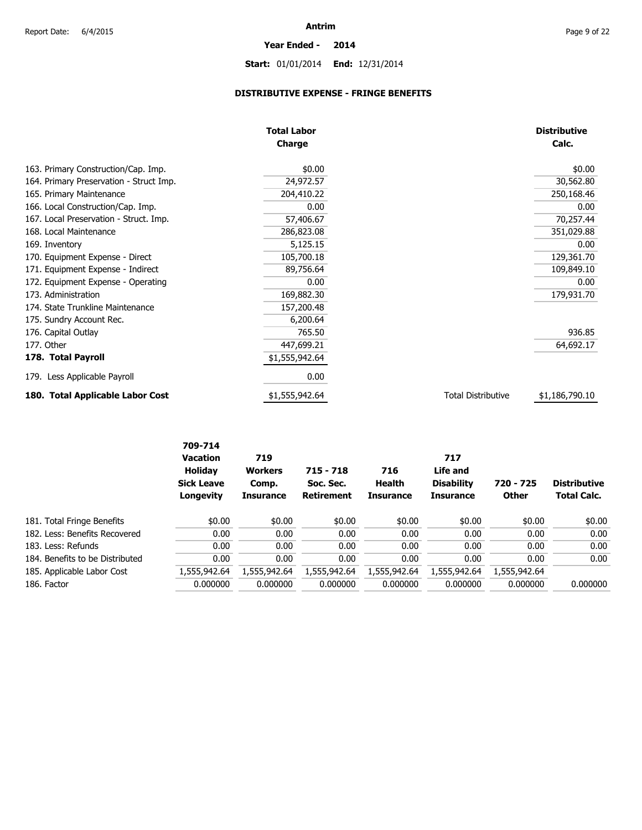# **Start:** 01/01/2014 **End:** 12/31/2014

**Year Ended - 2014**

### **DISTRIBUTIVE EXPENSE - FRINGE BENEFITS**

|                                         | <b>Total Labor</b> |                           | <b>Distributive</b> |  |
|-----------------------------------------|--------------------|---------------------------|---------------------|--|
|                                         | Charge             |                           |                     |  |
| 163. Primary Construction/Cap. Imp.     | \$0.00             |                           | \$0.00              |  |
| 164. Primary Preservation - Struct Imp. | 24,972.57          |                           | 30,562.80           |  |
| 165. Primary Maintenance                | 204,410.22         |                           | 250,168.46          |  |
| 166. Local Construction/Cap. Imp.       | 0.00               |                           | 0.00                |  |
| 167. Local Preservation - Struct. Imp.  | 57,406.67          |                           | 70,257.44           |  |
| 168. Local Maintenance                  | 286,823.08         |                           | 351,029.88          |  |
| 169. Inventory                          | 5,125.15           |                           | 0.00                |  |
| 170. Equipment Expense - Direct         | 105,700.18         |                           | 129,361.70          |  |
| 171. Equipment Expense - Indirect       | 89,756.64          |                           | 109,849.10          |  |
| 172. Equipment Expense - Operating      | 0.00               |                           | 0.00                |  |
| 173. Administration                     | 169,882.30         |                           | 179,931.70          |  |
| 174. State Trunkline Maintenance        | 157,200.48         |                           |                     |  |
| 175. Sundry Account Rec.                | 6,200.64           |                           |                     |  |
| 176. Capital Outlay                     | 765.50             |                           | 936.85              |  |
| 177. Other                              | 447,699.21         |                           | 64,692.17           |  |
| 178. Total Payroll                      | \$1,555,942.64     |                           |                     |  |
| 179. Less Applicable Payroll            | 0.00               |                           |                     |  |
| 180. Total Applicable Labor Cost        | \$1,555,942.64     | <b>Total Distributive</b> | \$1,186,790.10      |  |

|                                 | 709-714<br><b>Vacation</b><br><b>Holiday</b><br><b>Sick Leave</b> | 719<br>717<br>Life and<br><b>Workers</b><br>$715 - 718$<br>716<br><b>Disability</b><br>Health<br>Soc. Sec.<br>Comp. | 720 - 725         | <b>Distributive</b> |                  |              |                    |
|---------------------------------|-------------------------------------------------------------------|---------------------------------------------------------------------------------------------------------------------|-------------------|---------------------|------------------|--------------|--------------------|
|                                 | Longevity                                                         | <b>Insurance</b>                                                                                                    | <b>Retirement</b> | <b>Insurance</b>    | <b>Insurance</b> | <b>Other</b> | <b>Total Calc.</b> |
| 181. Total Fringe Benefits      | \$0.00                                                            | \$0.00                                                                                                              | \$0.00            | \$0.00              | \$0.00           | \$0.00       | \$0.00             |
| 182. Less: Benefits Recovered   | 0.00                                                              | 0.00                                                                                                                | 0.00              | 0.00                | 0.00             | 0.00         | 0.00               |
| 183. Less: Refunds              | 0.00                                                              | 0.00                                                                                                                | 0.00              | 0.00                | 0.00             | 0.00         | 0.00               |
| 184. Benefits to be Distributed | 0.00                                                              | 0.00                                                                                                                | 0.00              | 0.00                | 0.00             | 0.00         | 0.00               |
| 185. Applicable Labor Cost      | 1,555,942.64                                                      | 1,555,942.64                                                                                                        | 1,555,942.64      | 1,555,942.64        | 1,555,942.64     | 1,555,942.64 |                    |
| 186. Factor                     | 0.000000                                                          | 0.000000                                                                                                            | 0.000000          | 0.000000            | 0.000000         | 0.000000     | 0.000000           |
|                                 |                                                                   |                                                                                                                     |                   |                     |                  |              |                    |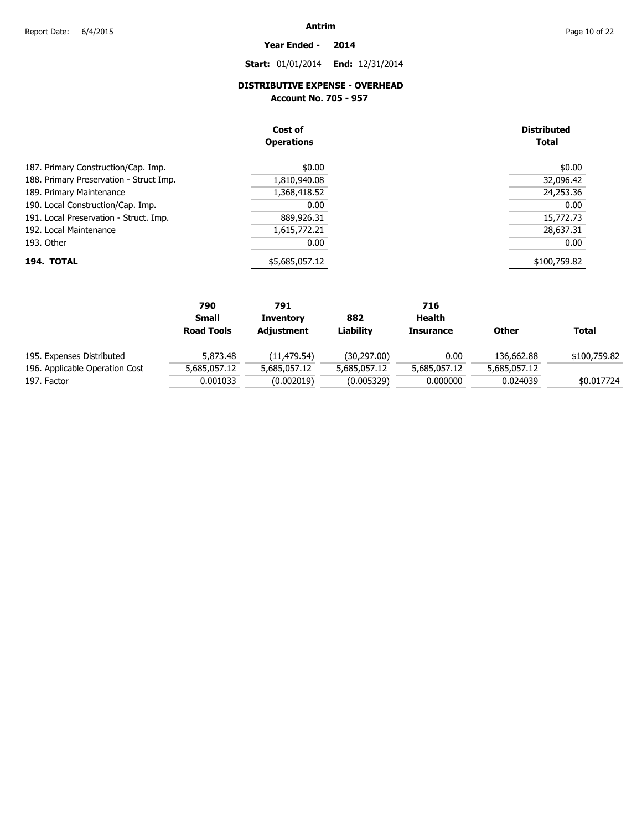## **Year Ended - 2014**

### **Start:** 01/01/2014 **End:** 12/31/2014

### **DISTRIBUTIVE EXPENSE - OVERHEAD**

**Account No. 705 - 957** 

|                                         | Cost of<br><b>Operations</b> | <b>Distributed</b><br><b>Total</b> |
|-----------------------------------------|------------------------------|------------------------------------|
| 187. Primary Construction/Cap. Imp.     | \$0.00                       | \$0.00                             |
| 188. Primary Preservation - Struct Imp. | 1,810,940.08                 | 32,096.42                          |
| 189. Primary Maintenance                | 1,368,418.52                 | 24,253.36                          |
| 190. Local Construction/Cap. Imp.       | 0.00                         | 0.00                               |
| 191. Local Preservation - Struct. Imp.  | 889,926.31                   | 15,772.73                          |
| 192. Local Maintenance                  | 1,615,772.21                 | 28,637.31                          |
| 193. Other                              | 0.00                         | 0.00                               |
| 194. TOTAL                              | \$5,685,057.12               | \$100,759.82                       |

|                                | 790               | 791              |              | 716              |              |              |
|--------------------------------|-------------------|------------------|--------------|------------------|--------------|--------------|
|                                | <b>Small</b>      | <b>Inventory</b> | 882          | Health           |              |              |
|                                | <b>Road Tools</b> | Adjustment       | Liabilitv    | <b>Insurance</b> | Other        | <b>Total</b> |
| 195. Expenses Distributed      | 5,873.48          | (11,479.54)      | (30, 297.00) | 0.00             | 136,662.88   | \$100,759.82 |
| 196. Applicable Operation Cost | 5,685,057.12      | 5,685,057.12     | 5,685,057.12 | 5,685,057.12     | 5,685,057.12 |              |
| 197. Factor                    | 0.001033          | (0.002019)       | (0.005329)   | 0.000000         | 0.024039     | \$0.017724   |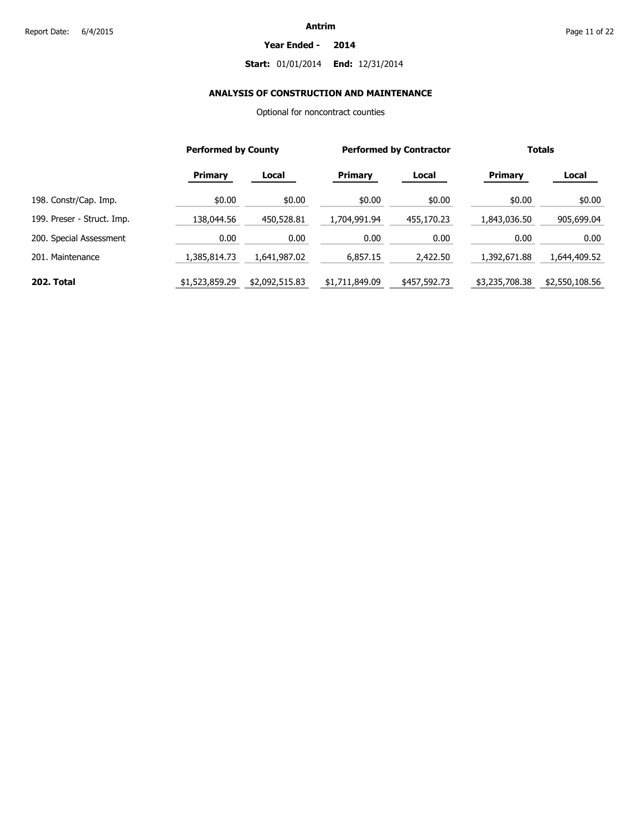#### **Year Ended - 2014**

### **Start:** 01/01/2014 **End:** 12/31/2014

### **ANALYSIS OF CONSTRUCTION AND MAINTENANCE**

Optional for noncontract counties

|                            | <b>Performed by County</b> |                | <b>Performed by Contractor</b> |              | <b>Totals</b>  |                |
|----------------------------|----------------------------|----------------|--------------------------------|--------------|----------------|----------------|
|                            | <b>Primary</b>             | Local          | <b>Primary</b>                 | Local        | <b>Primary</b> | Local          |
| 198. Constr/Cap. Imp.      | \$0.00                     | \$0.00         | \$0.00                         | \$0.00       | \$0.00         | \$0.00         |
| 199. Preser - Struct. Imp. | 138,044.56                 | 450,528.81     | 1,704,991.94                   | 455,170.23   | 1,843,036.50   | 905,699.04     |
| 200. Special Assessment    | 0.00                       | 0.00           | 0.00                           | 0.00         | 0.00           | 0.00           |
| 201. Maintenance           | 1,385,814.73               | 1.641.987.02   | 6.857.15                       | 2,422.50     | 1.392.671.88   | 1,644,409.52   |
| 202. Total                 | \$1,523,859.29             | \$2,092,515.83 | \$1,711,849.09                 | \$457,592.73 | \$3,235,708.38 | \$2,550,108.56 |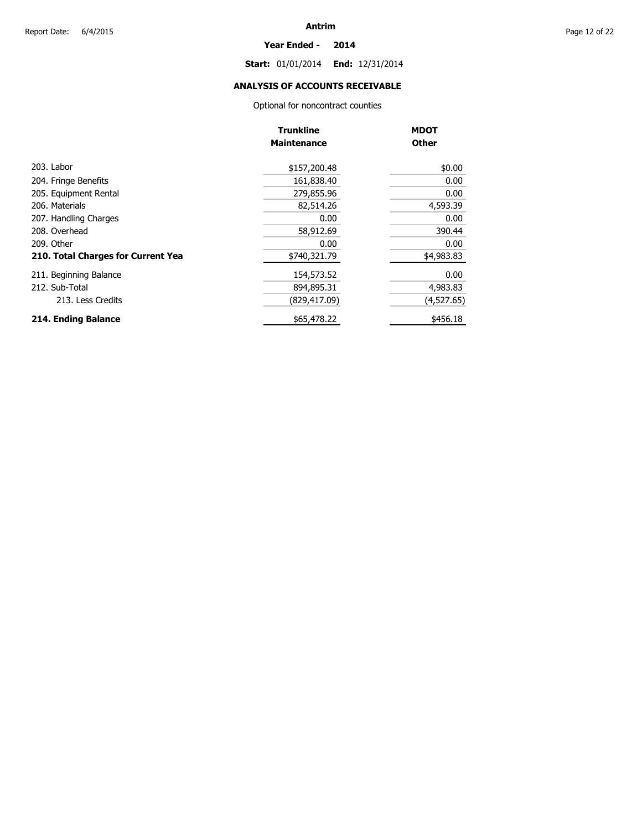#### **Year Ended - 2014**

**Start:** 01/01/2014 **End:** 12/31/2014

### **ANALYSIS OF ACCOUNTS RECEIVABLE**

Optional for noncontract counties

|                                    | <b>Trunkline</b>   | <b>MDOT</b>  |
|------------------------------------|--------------------|--------------|
|                                    | <b>Maintenance</b> | <b>Other</b> |
| 203. Labor                         | \$157,200.48       | \$0.00       |
| 204. Fringe Benefits               | 161,838.40         | 0.00         |
| 205. Equipment Rental              | 279,855.96         | 0.00         |
| 206. Materials                     | 82,514.26          | 4,593.39     |
| 207. Handling Charges              | 0.00               | 0.00         |
| 208. Overhead                      | 58,912.69          | 390.44       |
| 209. Other                         | 0.00               | 0.00         |
| 210. Total Charges for Current Yea | \$740,321.79       | \$4,983.83   |
| 211. Beginning Balance             | 154,573.52         | 0.00         |
| 212. Sub-Total                     | 894,895.31         | 4,983.83     |
| 213. Less Credits                  | (829, 417.09)      | (4,527.65)   |
| 214. Ending Balance                | \$65,478.22        | \$456.18     |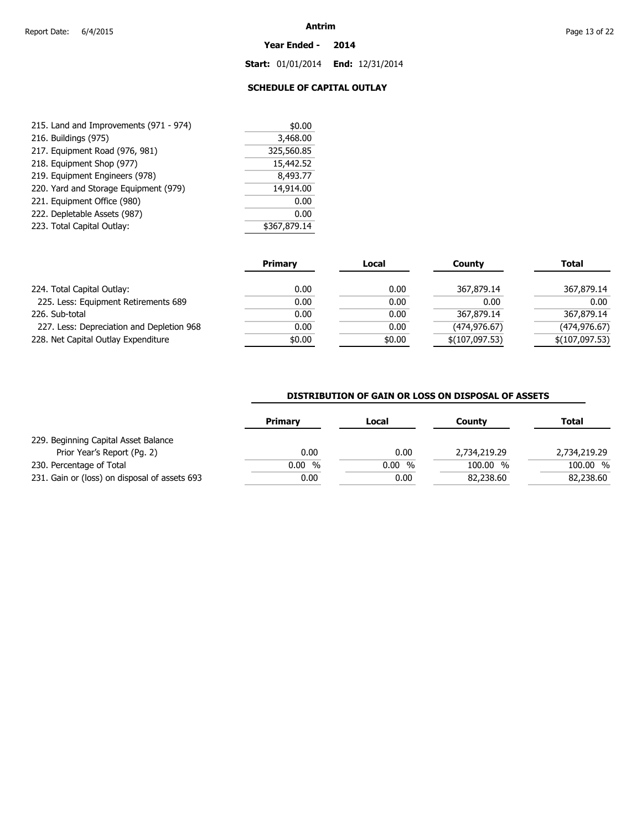#### **Year Ended - 2014**

**Start:** 01/01/2014 **End:** 12/31/2014

### **SCHEDULE OF CAPITAL OUTLAY**

| 215. Land and Improvements (971 - 974) | \$0.00       |  |
|----------------------------------------|--------------|--|
| 216. Buildings (975)                   | 3,468.00     |  |
| 217. Equipment Road (976, 981)         | 325,560.85   |  |
| 218. Equipment Shop (977)              | 15,442.52    |  |
| 219. Equipment Engineers (978)         | 8,493.77     |  |
| 220. Yard and Storage Equipment (979)  | 14,914.00    |  |
| 221. Equipment Office (980)            | 0.00         |  |
| 222. Depletable Assets (987)           | 0.00         |  |
| 223. Total Capital Outlay:             | \$367,879.14 |  |

|                                           | <b>Primary</b> | Local  | County         | <b>Total</b>   |
|-------------------------------------------|----------------|--------|----------------|----------------|
| 224. Total Capital Outlay:                | 0.00           | 0.00   | 367,879.14     | 367,879.14     |
| 225. Less: Equipment Retirements 689      | 0.00           | 0.00   | 0.00           | 0.00           |
| 226. Sub-total                            | 0.00           | 0.00   | 367,879.14     | 367,879.14     |
| 227. Less: Depreciation and Depletion 968 | 0.00           | 0.00   | (474, 976.67)  | (474, 976.67)  |
| 228. Net Capital Outlay Expenditure       | \$0.00         | \$0.00 | \$(107,097.53) | \$(107,097.53) |

### **DISTRIBUTION OF GAIN OR LOSS ON DISPOSAL OF ASSETS**

| <b>Primary</b> | Local | County       | <b>Total</b> |
|----------------|-------|--------------|--------------|
|                |       |              |              |
| 0.00           | 0.00  | 2,734,219.29 | 2,734,219.29 |
| 0.00%          | 0.00% | 100.00 %     | 100.00 %     |
| 0.00           | 0.00  | 82,238.60    | 82,238.60    |
|                |       |              |              |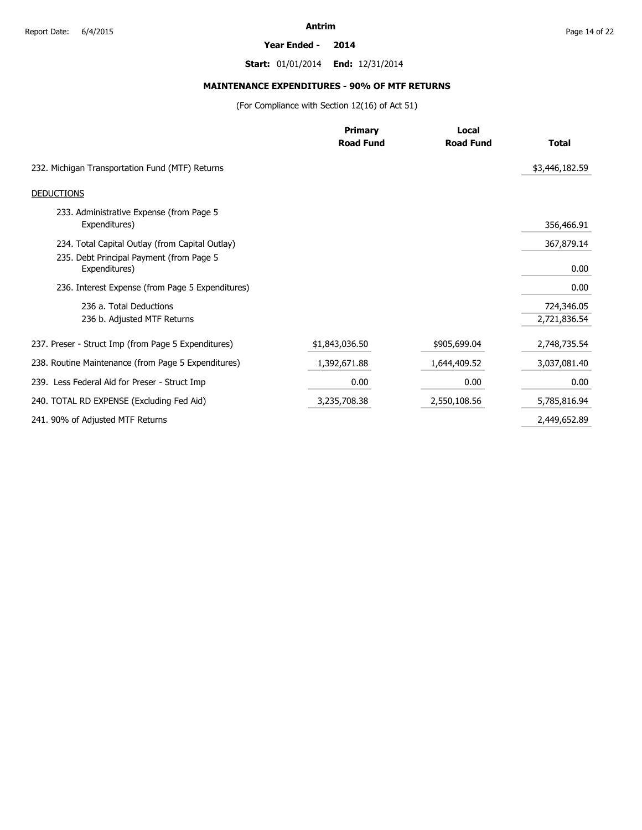#### **Year Ended - 2014**

**Start:** 01/01/2014 **End:** 12/31/2014

### **MAINTENANCE EXPENDITURES - 90% OF MTF RETURNS**

(For Compliance with Section 12(16) of Act 51)

|                                                           | <b>Primary</b>   | Local            |                |  |
|-----------------------------------------------------------|------------------|------------------|----------------|--|
|                                                           | <b>Road Fund</b> | <b>Road Fund</b> | <b>Total</b>   |  |
| 232. Michigan Transportation Fund (MTF) Returns           |                  |                  | \$3,446,182.59 |  |
| <b>DEDUCTIONS</b>                                         |                  |                  |                |  |
| 233. Administrative Expense (from Page 5<br>Expenditures) |                  |                  | 356,466.91     |  |
| 234. Total Capital Outlay (from Capital Outlay)           |                  |                  | 367,879.14     |  |
| 235. Debt Principal Payment (from Page 5<br>Expenditures) |                  |                  | 0.00           |  |
| 236. Interest Expense (from Page 5 Expenditures)          |                  |                  | 0.00           |  |
| 236 a. Total Deductions                                   |                  |                  | 724,346.05     |  |
| 236 b. Adjusted MTF Returns                               |                  |                  | 2,721,836.54   |  |
| 237. Preser - Struct Imp (from Page 5 Expenditures)       | \$1,843,036.50   | \$905,699.04     | 2,748,735.54   |  |
| 238. Routine Maintenance (from Page 5 Expenditures)       | 1,392,671.88     | 1,644,409.52     | 3,037,081.40   |  |
| 239. Less Federal Aid for Preser - Struct Imp             | 0.00             | 0.00             | 0.00           |  |
| 240. TOTAL RD EXPENSE (Excluding Fed Aid)                 | 3,235,708.38     | 2,550,108.56     | 5,785,816.94   |  |
| 241. 90% of Adjusted MTF Returns                          |                  |                  | 2,449,652.89   |  |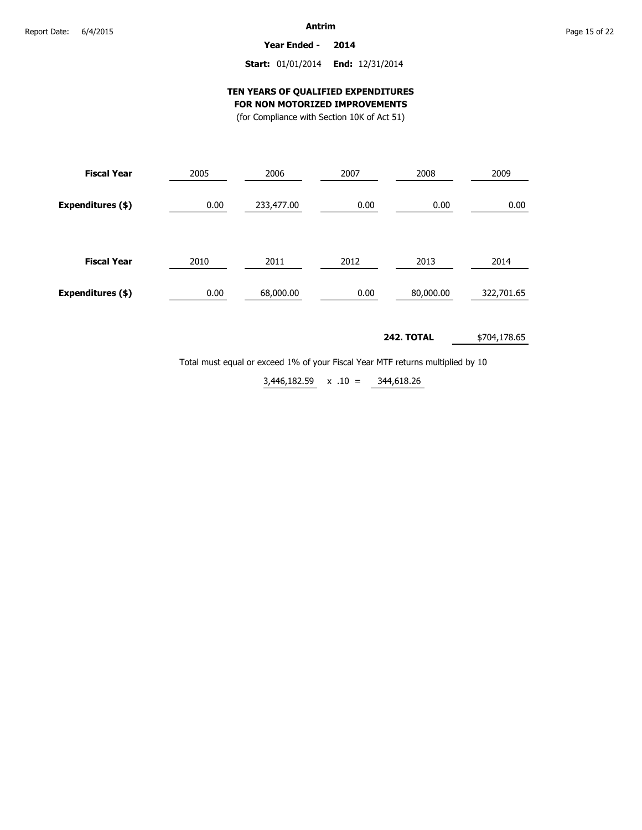**Year Ended - 2014**

### **Start:** 01/01/2014 **End:** 12/31/2014

### **TEN YEARS OF QUALIFIED EXPENDITURES FOR NON MOTORIZED IMPROVEMENTS**

(for Compliance with Section 10K of Act 51)

| (TOT COMPRISE WILL SECUOIL TON OF ACT 31 |  |  |  |
|------------------------------------------|--|--|--|
|                                          |  |  |  |

| <b>Fiscal Year</b> | 2005 | 2006       | 2007 | 2008      | 2009       |  |
|--------------------|------|------------|------|-----------|------------|--|
| Expenditures (\$)  | 0.00 | 233,477.00 | 0.00 | 0.00      | 0.00       |  |
| <b>Fiscal Year</b> | 2010 | 2011       | 2012 | 2013      | 2014       |  |
| Expenditures (\$)  | 0.00 | 68,000.00  | 0.00 | 80,000.00 | 322,701.65 |  |

#### **242. TOTAL** \$704,178.65

Total must equal or exceed 1% of your Fiscal Year MTF returns multiplied by 10

344,618.26  $3,446,182.59 \times .10 =$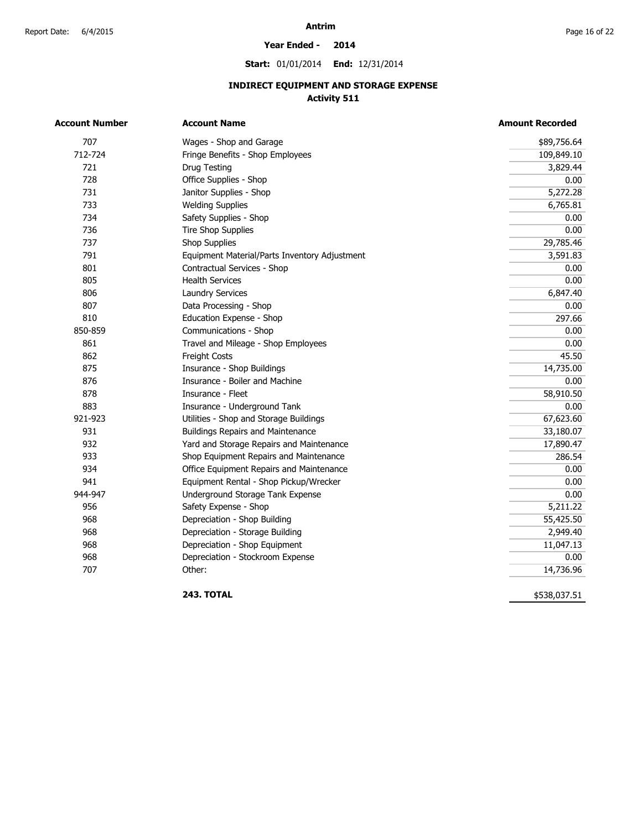#### **Year Ended - 2014**

**Start:** 01/01/2014 **End:** 12/31/2014

### **INDIRECT EQUIPMENT AND STORAGE EXPENSE Activity 511**

| <b>Account Number</b> | <b>Account Name</b>                           | <b>Amount Recorded</b> |
|-----------------------|-----------------------------------------------|------------------------|
| 707                   | Wages - Shop and Garage                       | \$89,756.64            |
| 712-724               | Fringe Benefits - Shop Employees              | 109,849.10             |
| 721                   | Drug Testing                                  | 3,829.44               |
| 728                   | Office Supplies - Shop                        | 0.00                   |
| 731                   | Janitor Supplies - Shop                       | 5,272.28               |
| 733                   | <b>Welding Supplies</b>                       | 6,765.81               |
| 734                   | Safety Supplies - Shop                        | 0.00                   |
| 736                   | <b>Tire Shop Supplies</b>                     | 0.00                   |
| 737                   | <b>Shop Supplies</b>                          | 29,785.46              |
| 791                   | Equipment Material/Parts Inventory Adjustment | 3,591.83               |
| 801                   | Contractual Services - Shop                   | 0.00                   |
| 805                   | <b>Health Services</b>                        | 0.00                   |
| 806                   | <b>Laundry Services</b>                       | 6,847.40               |
| 807                   | Data Processing - Shop                        | 0.00                   |
| 810                   | Education Expense - Shop                      | 297.66                 |
| 850-859               | Communications - Shop                         | 0.00                   |
| 861                   | Travel and Mileage - Shop Employees           | 0.00                   |
| 862                   | Freight Costs                                 | 45.50                  |
| 875                   | Insurance - Shop Buildings                    | 14,735.00              |
| 876                   | Insurance - Boiler and Machine                | 0.00                   |
| 878                   | Insurance - Fleet                             | 58,910.50              |
| 883                   | Insurance - Underground Tank                  | 0.00                   |
| 921-923               | Utilities - Shop and Storage Buildings        | 67,623.60              |
| 931                   | <b>Buildings Repairs and Maintenance</b>      | 33,180.07              |
| 932                   | Yard and Storage Repairs and Maintenance      | 17,890.47              |
| 933                   | Shop Equipment Repairs and Maintenance        | 286.54                 |
| 934                   | Office Equipment Repairs and Maintenance      | 0.00                   |
| 941                   | Equipment Rental - Shop Pickup/Wrecker        | 0.00                   |
| 944-947               | Underground Storage Tank Expense              | 0.00                   |
| 956                   | Safety Expense - Shop                         | 5,211.22               |
| 968                   | Depreciation - Shop Building                  | 55,425.50              |
| 968                   | Depreciation - Storage Building               | 2,949.40               |
| 968                   | Depreciation - Shop Equipment                 | 11,047.13              |
| 968                   | Depreciation - Stockroom Expense              | 0.00                   |
| 707                   | Other:                                        | 14,736.96              |

**243. TOTAL** 

\$538,037.51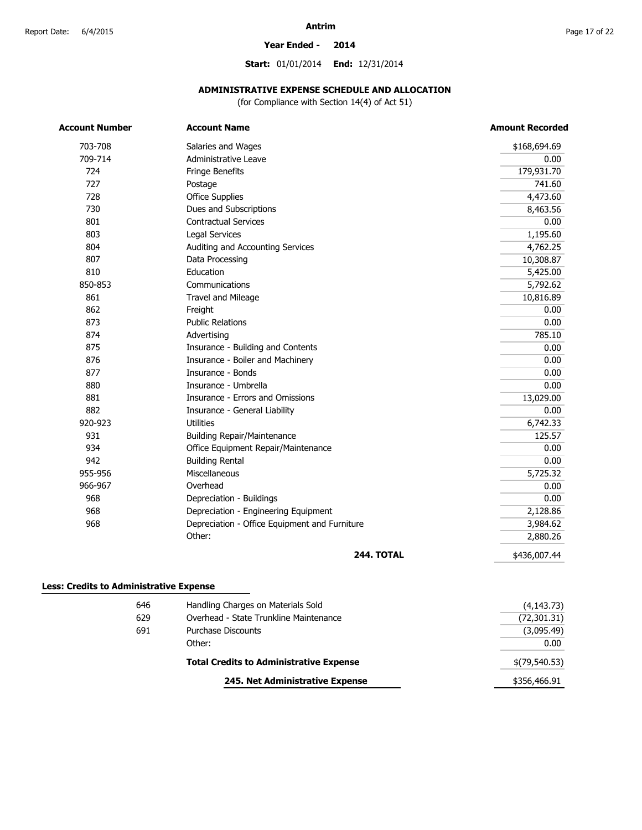#### **Year Ended - 2014**

**Start:** 01/01/2014 **End:** 12/31/2014

### **ADMINISTRATIVE EXPENSE SCHEDULE AND ALLOCATION**

(for Compliance with Section 14(4) of Act 51)

| Salaries and Wages                            | \$168,694.69                                                                         |
|-----------------------------------------------|--------------------------------------------------------------------------------------|
| Administrative Leave                          | 0.00                                                                                 |
| <b>Fringe Benefits</b>                        | 179,931.70                                                                           |
| Postage                                       | 741.60                                                                               |
| <b>Office Supplies</b>                        | 4,473.60                                                                             |
| Dues and Subscriptions                        | 8,463.56                                                                             |
| <b>Contractual Services</b>                   | 0.00                                                                                 |
| <b>Legal Services</b>                         | 1,195.60                                                                             |
| Auditing and Accounting Services              | 4,762.25                                                                             |
| Data Processing                               | 10,308.87                                                                            |
| Education                                     | 5,425.00                                                                             |
| Communications                                | 5,792.62                                                                             |
| Travel and Mileage                            | 10,816.89                                                                            |
| Freight                                       | 0.00                                                                                 |
| <b>Public Relations</b>                       | 0.00                                                                                 |
|                                               | 785.10                                                                               |
|                                               | 0.00                                                                                 |
|                                               | 0.00                                                                                 |
| Insurance - Bonds                             | 0.00                                                                                 |
| Insurance - Umbrella                          | 0.00                                                                                 |
| Insurance - Errors and Omissions              | 13,029.00                                                                            |
| Insurance - General Liability                 | 0.00                                                                                 |
| <b>Utilities</b>                              | 6,742.33                                                                             |
| <b>Building Repair/Maintenance</b>            | 125.57                                                                               |
| Office Equipment Repair/Maintenance           | 0.00                                                                                 |
| <b>Building Rental</b>                        | 0.00                                                                                 |
| Miscellaneous                                 | 5,725.32                                                                             |
| Overhead                                      | 0.00                                                                                 |
| Depreciation - Buildings                      | 0.00                                                                                 |
| Depreciation - Engineering Equipment          | 2,128.86                                                                             |
| Depreciation - Office Equipment and Furniture | 3,984.62                                                                             |
| Other:                                        | 2,880.26                                                                             |
| <b>244. TOTAL</b>                             | \$436,007.44                                                                         |
|                                               | Advertising<br>Insurance - Building and Contents<br>Insurance - Boiler and Machinery |

| (72, 301.31)    |
|-----------------|
| (3,095.49)      |
| 0.00            |
| $$$ (79,540.53) |
| \$356,466.91    |
|                 |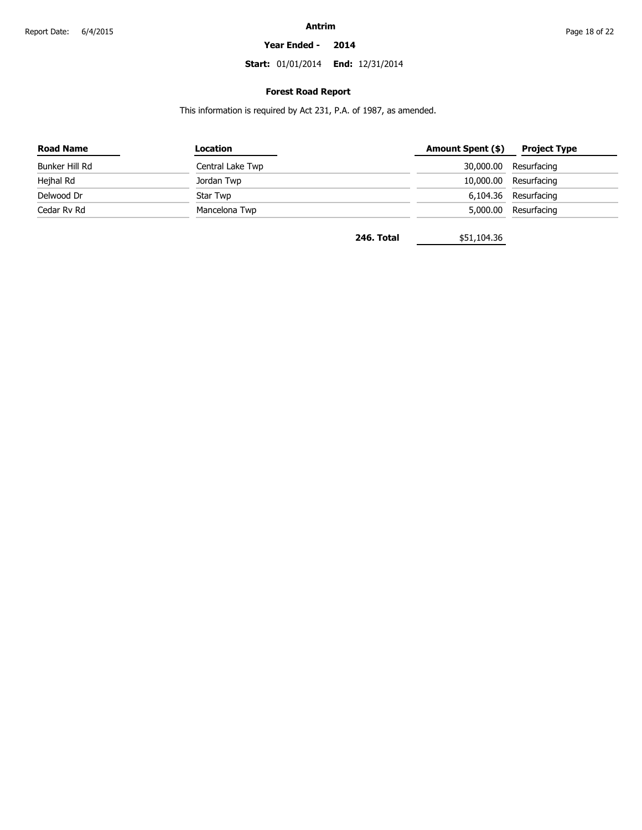#### **Year Ended - 2014**

**Start:** 01/01/2014 **End:** 12/31/2014

### **Forest Road Report**

This information is required by Act 231, P.A. of 1987, as amended.

| <b>Road Name</b> | Location         | Amount Spent (\$) | <b>Project Type</b>  |
|------------------|------------------|-------------------|----------------------|
| Bunker Hill Rd   | Central Lake Twp | 30,000.00         | Resurfacing          |
| Hejhal Rd        | Jordan Twp       | 10,000.00         | Resurfacing          |
| Delwood Dr       | Star Twp         |                   | 6,104.36 Resurfacing |
| Cedar Rv Rd      | Mancelona Twp    | 5,000.00          | Resurfacing          |

**246. Total** \$51,104.36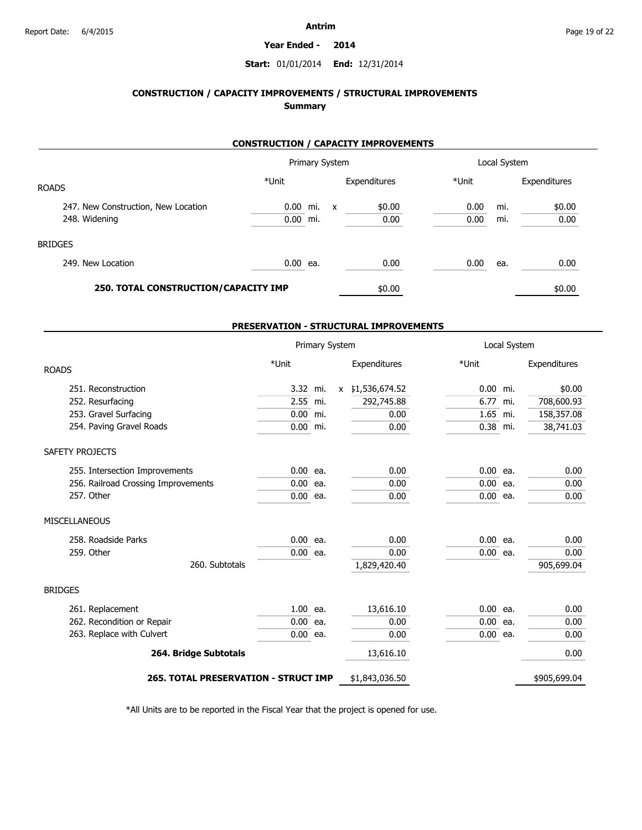#### **Year Ended - 2014**

### **Start:** 01/01/2014 **End:** 12/31/2014

### **CONSTRUCTION / CAPACITY IMPROVEMENTS / STRUCTURAL IMPROVEMENTS Summary**

### **CONSTRUCTION / CAPACITY IMPROVEMENTS**

|                                      | Primary System |  |   | Local System |       |     |              |
|--------------------------------------|----------------|--|---|--------------|-------|-----|--------------|
| <b>ROADS</b>                         | *Unit          |  |   | Expenditures | *Unit |     | Expenditures |
| 247. New Construction, New Location  | $0.00$ mi.     |  | X | \$0.00       | 0.00  | mi. | \$0.00       |
| 248. Widening                        | $0.00$ mi.     |  |   | 0.00         | 0.00  | mi. | 0.00         |
| <b>BRIDGES</b>                       |                |  |   |              |       |     |              |
| 249. New Location                    | 0.00 ea.       |  |   | 0.00         | 0.00  | ea. | 0.00         |
| 250. TOTAL CONSTRUCTION/CAPACITY IMP |                |  |   | \$0.00       |       |     | \$0.00       |

#### **PRESERVATION - STRUCTURAL IMPROVEMENTS**

|                                             |            | Primary System |              |                |            | Local System |              |
|---------------------------------------------|------------|----------------|--------------|----------------|------------|--------------|--------------|
| <b>ROADS</b>                                | *Unit      |                |              | Expenditures   | *Unit      |              | Expenditures |
| 251. Reconstruction                         | 3.32 mi.   |                | $\mathsf{x}$ | \$1,536,674.52 | 0.00 mi.   |              | \$0.00       |
| 252. Resurfacing                            | 2.55 mi.   |                |              | 292,745.88     | 6.77 mi.   |              | 708,600.93   |
| 253. Gravel Surfacing                       | 0.00 mi.   |                |              | 0.00           | 1.65 mi.   |              | 158,357.08   |
| 254. Paving Gravel Roads                    | 0.00 mi.   |                |              | 0.00           | 0.38 mi.   |              | 38,741.03    |
| SAFETY PROJECTS                             |            |                |              |                |            |              |              |
| 255. Intersection Improvements              | $0.00$ ea. |                |              | 0.00           | $0.00$ ea. |              | 0.00         |
| 256. Railroad Crossing Improvements         | $0.00$ ea. |                |              | 0.00           | $0.00$ ea. |              | 0.00         |
| 257. Other                                  | $0.00$ ea. |                |              | 0.00           | $0.00$ ea. |              | 0.00         |
| MISCELLANEOUS                               |            |                |              |                |            |              |              |
| 258. Roadside Parks                         | $0.00$ ea. |                |              | 0.00           | $0.00$ ea. |              | 0.00         |
| 259. Other                                  | $0.00$ ea. |                |              | 0.00           | $0.00$ ea. |              | 0.00         |
| 260. Subtotals                              |            |                |              | 1,829,420.40   |            |              | 905,699.04   |
| <b>BRIDGES</b>                              |            |                |              |                |            |              |              |
| 261. Replacement                            | 1.00 ea.   |                |              | 13,616.10      | $0.00$ ea. |              | 0.00         |
| 262. Recondition or Repair                  | $0.00$ ea. |                |              | 0.00           | $0.00$ ea. |              | 0.00         |
| 263. Replace with Culvert                   | $0.00$ ea. |                |              | 0.00           | $0.00$ ea. |              | 0.00         |
| 264. Bridge Subtotals                       |            |                |              | 13,616.10      |            |              | 0.00         |
| <b>265. TOTAL PRESERVATION - STRUCT IMP</b> |            |                |              | \$1,843,036.50 |            |              | \$905,699.04 |

\*All Units are to be reported in the Fiscal Year that the project is opened for use.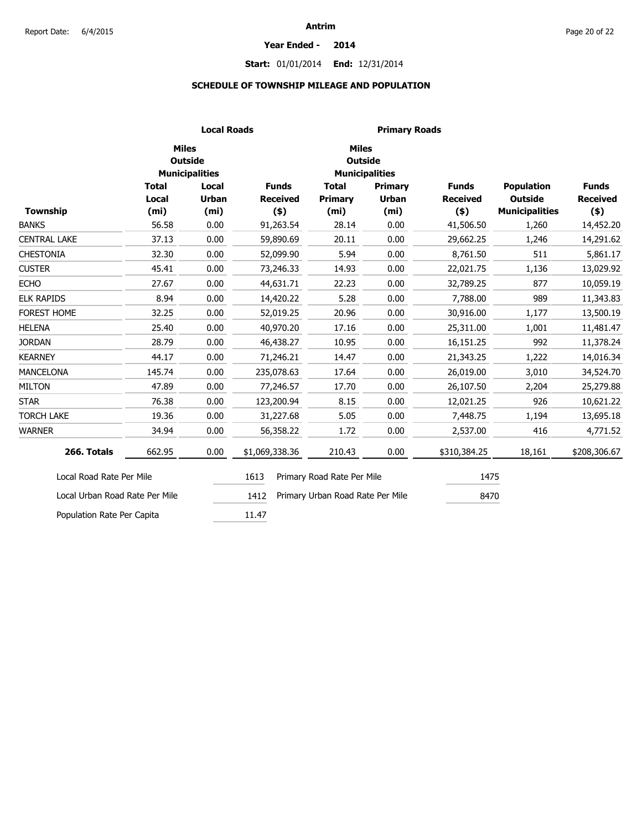#### **Year Ended - 2014**

### **Start:** 01/01/2014 **End:** 12/31/2014

### **SCHEDULE OF TOWNSHIP MILEAGE AND POPULATION**

|                                |                   | <b>Local Roads</b>                                      |                 |                                  | <b>Primary Roads</b>  |                 |                       |                 |
|--------------------------------|-------------------|---------------------------------------------------------|-----------------|----------------------------------|-----------------------|-----------------|-----------------------|-----------------|
|                                |                   | <b>Miles</b><br><b>Outside</b><br><b>Municipalities</b> |                 | <b>Miles</b><br><b>Outside</b>   | <b>Municipalities</b> |                 |                       |                 |
|                                | <b>Total</b>      | Local                                                   | <b>Funds</b>    | <b>Total</b>                     | <b>Primary</b>        | <b>Funds</b>    | <b>Population</b>     | <b>Funds</b>    |
|                                | Local             | <b>Urban</b>                                            | <b>Received</b> | Primary                          | <b>Urban</b>          | <b>Received</b> | <b>Outside</b>        | <b>Received</b> |
| Township                       | (m <sub>i</sub> ) | (m <sub>i</sub> )                                       | $($ \$)         | (m <sub>i</sub> )                | (m <sub>i</sub> )     | $($ \$)         | <b>Municipalities</b> | $($ \$)         |
| <b>BANKS</b>                   | 56.58             | 0.00                                                    | 91,263.54       | 28.14                            | 0.00                  | 41,506.50       | 1,260                 | 14,452.20       |
| <b>CENTRAL LAKE</b>            | 37.13             | 0.00                                                    | 59,890.69       | 20.11                            | 0.00                  | 29,662.25       | 1,246                 | 14,291.62       |
| <b>CHESTONIA</b>               | 32.30             | 0.00                                                    | 52,099.90       | 5.94                             | 0.00                  | 8,761.50        | 511                   | 5,861.17        |
| <b>CUSTER</b>                  | 45.41             | 0.00                                                    | 73,246.33       | 14.93                            | 0.00                  | 22,021.75       | 1,136                 | 13,029.92       |
| <b>ECHO</b>                    | 27.67             | 0.00                                                    | 44,631.71       | 22.23                            | 0.00                  | 32,789.25       | 877                   | 10,059.19       |
| <b>ELK RAPIDS</b>              | 8.94              | 0.00                                                    | 14,420.22       | 5.28                             | 0.00                  | 7,788.00        | 989                   | 11,343.83       |
| FOREST HOME                    | 32.25             | 0.00                                                    | 52,019.25       | 20.96                            | 0.00                  | 30,916.00       | 1,177                 | 13,500.19       |
| <b>HELENA</b>                  | 25.40             | 0.00                                                    | 40,970.20       | 17.16                            | 0.00                  | 25,311.00       | 1,001                 | 11,481.47       |
| <b>JORDAN</b>                  | 28.79             | 0.00                                                    | 46,438.27       | 10.95                            | 0.00                  | 16,151.25       | 992                   | 11,378.24       |
| <b>KEARNEY</b>                 | 44.17             | 0.00                                                    | 71,246.21       | 14.47                            | 0.00                  | 21,343.25       | 1,222                 | 14,016.34       |
| <b>MANCELONA</b>               | 145.74            | 0.00                                                    | 235,078.63      | 17.64                            | 0.00                  | 26,019.00       | 3,010                 | 34,524.70       |
| <b>MILTON</b>                  | 47.89             | 0.00                                                    | 77,246.57       | 17.70                            | 0.00                  | 26,107.50       | 2,204                 | 25,279.88       |
| <b>STAR</b>                    | 76.38             | 0.00                                                    | 123,200.94      | 8.15                             | 0.00                  | 12,021.25       | 926                   | 10,621.22       |
| <b>TORCH LAKE</b>              | 19.36             | 0.00                                                    | 31,227.68       | 5.05                             | 0.00                  | 7,448.75        | 1,194                 | 13,695.18       |
| <b>WARNER</b>                  | 34.94             | 0.00                                                    | 56,358.22       | 1.72                             | 0.00                  | 2,537.00        | 416                   | 4,771.52        |
| 266. Totals                    | 662.95            | 0.00                                                    | \$1,069,338.36  | 210.43                           | 0.00                  | \$310,384.25    | 18,161                | \$208,306.67    |
| Local Road Rate Per Mile       |                   |                                                         | 1613            | Primary Road Rate Per Mile       |                       | 1475            |                       |                 |
| Local Urban Road Rate Per Mile |                   |                                                         | 1412            | Primary Urban Road Rate Per Mile |                       | 8470            |                       |                 |
| Population Rate Per Capita     |                   |                                                         | 11.47           |                                  |                       |                 |                       |                 |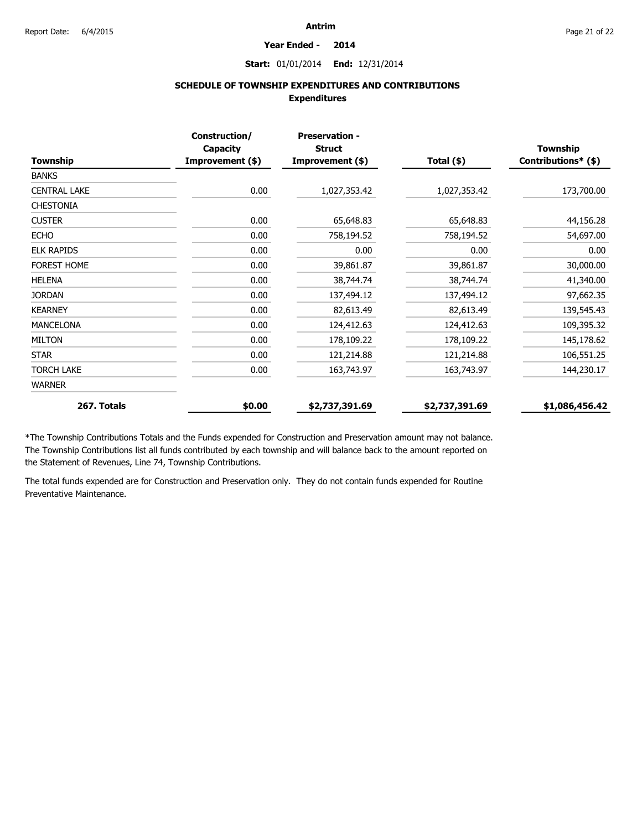#### **Year Ended - 2014**

### **Start:** 01/01/2014 **End:** 12/31/2014

### **SCHEDULE OF TOWNSHIP EXPENDITURES AND CONTRIBUTIONS Expenditures**

|                     | Construction/<br><b>Capacity</b> | <b>Preservation -</b><br><b>Struct</b> |                | <b>Township</b>     |  |
|---------------------|----------------------------------|----------------------------------------|----------------|---------------------|--|
| Township            | Improvement (\$)                 | Improvement (\$)                       | Total $(*)$    | Contributions* (\$) |  |
| <b>BANKS</b>        |                                  |                                        |                |                     |  |
| <b>CENTRAL LAKE</b> | 0.00                             | 1,027,353.42                           | 1,027,353.42   | 173,700.00          |  |
| <b>CHESTONIA</b>    |                                  |                                        |                |                     |  |
| <b>CUSTER</b>       | 0.00                             | 65,648.83                              | 65,648.83      | 44,156.28           |  |
| <b>ECHO</b>         | 0.00                             | 758,194.52                             | 758,194.52     | 54,697.00           |  |
| <b>ELK RAPIDS</b>   | 0.00                             | 0.00                                   | 0.00           | 0.00                |  |
| <b>FOREST HOME</b>  | 0.00                             | 39,861.87                              | 39,861.87      | 30,000.00           |  |
| <b>HELENA</b>       | 0.00                             | 38,744.74                              | 38,744.74      | 41,340.00           |  |
| <b>JORDAN</b>       | 0.00                             | 137,494.12                             | 137,494.12     | 97,662.35           |  |
| <b>KEARNEY</b>      | 0.00                             | 82,613.49                              | 82,613.49      | 139,545.43          |  |
| <b>MANCELONA</b>    | 0.00                             | 124,412.63                             | 124,412.63     | 109,395.32          |  |
| <b>MILTON</b>       | 0.00                             | 178,109.22                             | 178,109.22     | 145,178.62          |  |
| <b>STAR</b>         | 0.00                             | 121,214.88                             | 121,214.88     | 106,551.25          |  |
| <b>TORCH LAKE</b>   | 0.00                             | 163,743.97                             | 163,743.97     | 144,230.17          |  |
| <b>WARNER</b>       |                                  |                                        |                |                     |  |
| 267. Totals         | \$0.00                           | \$2,737,391.69                         | \$2,737,391.69 | \$1,086,456.42      |  |

\*The Township Contributions Totals and the Funds expended for Construction and Preservation amount may not balance. The Township Contributions list all funds contributed by each township and will balance back to the amount reported on the Statement of Revenues, Line 74, Township Contributions.

The total funds expended are for Construction and Preservation only. They do not contain funds expended for Routine Preventative Maintenance.